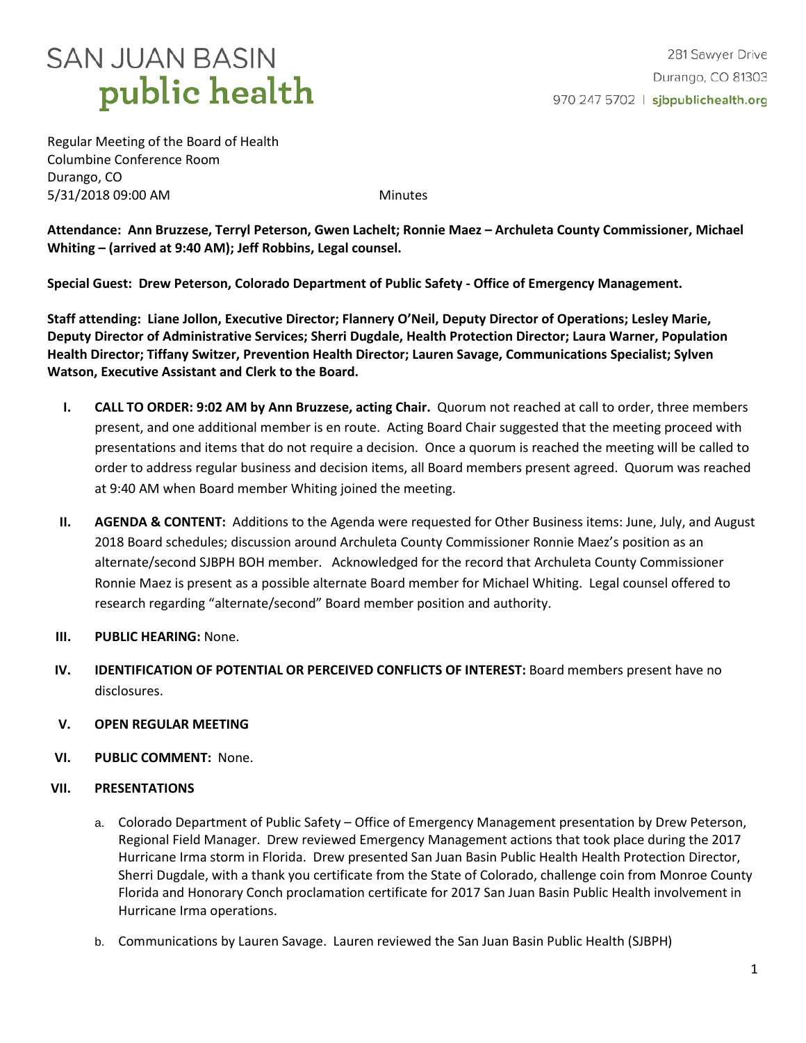# **SAN JUAN BASIN** public health

Regular Meeting of the Board of Health Columbine Conference Room Durango, CO 5/31/2018 09:00 AM Minutes

**Attendance: Ann Bruzzese, Terryl Peterson, Gwen Lachelt; Ronnie Maez – Archuleta County Commissioner, Michael Whiting – (arrived at 9:40 AM); Jeff Robbins, Legal counsel.**

**Special Guest: Drew Peterson, Colorado Department of Public Safety - Office of Emergency Management.**

**Staff attending: Liane Jollon, Executive Director; Flannery O'Neil, Deputy Director of Operations; Lesley Marie, Deputy Director of Administrative Services; Sherri Dugdale, Health Protection Director; Laura Warner, Population Health Director; Tiffany Switzer, Prevention Health Director; Lauren Savage, Communications Specialist; Sylven Watson, Executive Assistant and Clerk to the Board.**

- **I. CALL TO ORDER: 9:02 AM by Ann Bruzzese, acting Chair.** Quorum not reached at call to order, three members present, and one additional member is en route. Acting Board Chair suggested that the meeting proceed with presentations and items that do not require a decision. Once a quorum is reached the meeting will be called to order to address regular business and decision items, all Board members present agreed. Quorum was reached at 9:40 AM when Board member Whiting joined the meeting.
- **II. AGENDA & CONTENT:** Additions to the Agenda were requested for Other Business items: June, July, and August 2018 Board schedules; discussion around Archuleta County Commissioner Ronnie Maez's position as an alternate/second SJBPH BOH member. Acknowledged for the record that Archuleta County Commissioner Ronnie Maez is present as a possible alternate Board member for Michael Whiting. Legal counsel offered to research regarding "alternate/second" Board member position and authority.
- **III. PUBLIC HEARING:** None.
- **IV. IDENTIFICATION OF POTENTIAL OR PERCEIVED CONFLICTS OF INTEREST:** Board members present have no disclosures.
- **V. OPEN REGULAR MEETING**
- **VI. PUBLIC COMMENT:** None.

### **VII. PRESENTATIONS**

- a. Colorado Department of Public Safety Office of Emergency Management presentation by Drew Peterson, Regional Field Manager. Drew reviewed Emergency Management actions that took place during the 2017 Hurricane Irma storm in Florida. Drew presented San Juan Basin Public Health Health Protection Director, Sherri Dugdale, with a thank you certificate from the State of Colorado, challenge coin from Monroe County Florida and Honorary Conch proclamation certificate for 2017 San Juan Basin Public Health involvement in Hurricane Irma operations.
- b. Communications by Lauren Savage. Lauren reviewed the San Juan Basin Public Health (SJBPH)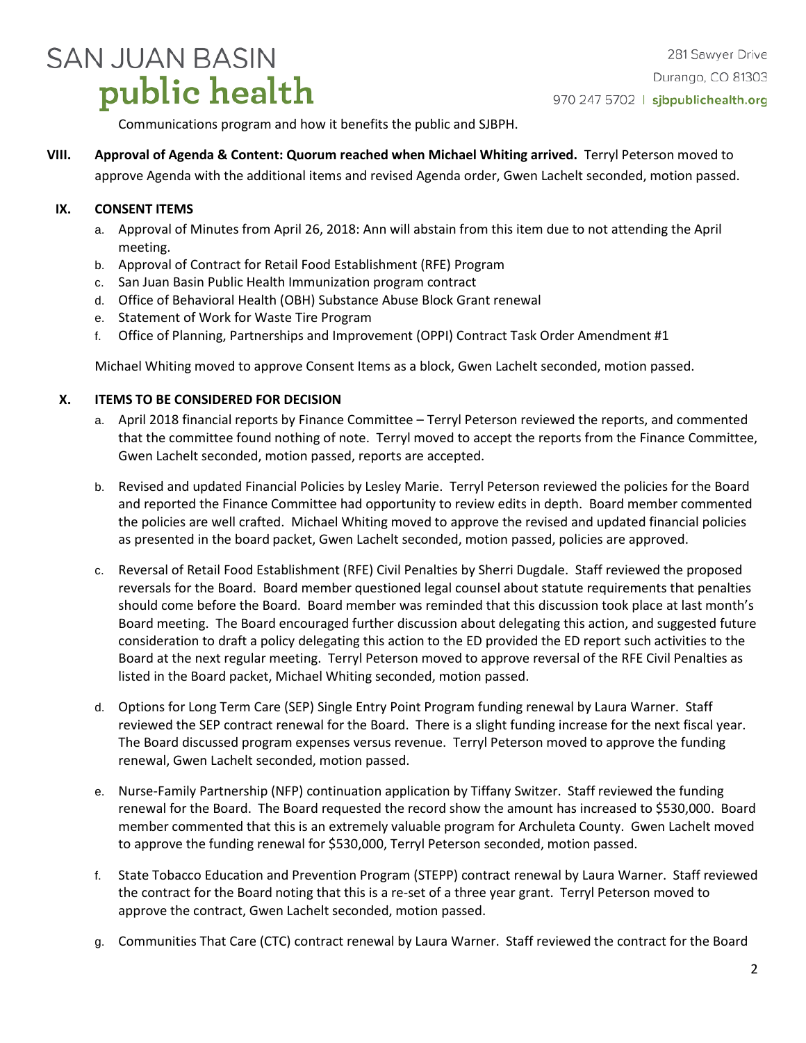# **SAN JUAN BASIN** public health

Communications program and how it benefits the public and SJBPH.

**VIII. Approval of Agenda & Content: Quorum reached when Michael Whiting arrived.** Terryl Peterson moved to approve Agenda with the additional items and revised Agenda order, Gwen Lachelt seconded, motion passed.

## **IX. CONSENT ITEMS**

- a. Approval of Minutes from April 26, 2018: Ann will abstain from this item due to not attending the April meeting.
- b. Approval of Contract for Retail Food Establishment (RFE) Program
- c. San Juan Basin Public Health Immunization program contract
- d. Office of Behavioral Health (OBH) Substance Abuse Block Grant renewal
- e. Statement of Work for Waste Tire Program
- f. Office of Planning, Partnerships and Improvement (OPPI) Contract Task Order Amendment #1

Michael Whiting moved to approve Consent Items as a block, Gwen Lachelt seconded, motion passed.

### **X. ITEMS TO BE CONSIDERED FOR DECISION**

- a. April 2018 financial reports by Finance Committee Terryl Peterson reviewed the reports, and commented that the committee found nothing of note. Terryl moved to accept the reports from the Finance Committee, Gwen Lachelt seconded, motion passed, reports are accepted.
- b. Revised and updated Financial Policies by Lesley Marie. Terryl Peterson reviewed the policies for the Board and reported the Finance Committee had opportunity to review edits in depth. Board member commented the policies are well crafted. Michael Whiting moved to approve the revised and updated financial policies as presented in the board packet, Gwen Lachelt seconded, motion passed, policies are approved.
- c. Reversal of Retail Food Establishment (RFE) Civil Penalties by Sherri Dugdale. Staff reviewed the proposed reversals for the Board. Board member questioned legal counsel about statute requirements that penalties should come before the Board. Board member was reminded that this discussion took place at last month's Board meeting. The Board encouraged further discussion about delegating this action, and suggested future consideration to draft a policy delegating this action to the ED provided the ED report such activities to the Board at the next regular meeting. Terryl Peterson moved to approve reversal of the RFE Civil Penalties as listed in the Board packet, Michael Whiting seconded, motion passed.
- d. Options for Long Term Care (SEP) Single Entry Point Program funding renewal by Laura Warner. Staff reviewed the SEP contract renewal for the Board. There is a slight funding increase for the next fiscal year. The Board discussed program expenses versus revenue. Terryl Peterson moved to approve the funding renewal, Gwen Lachelt seconded, motion passed.
- e. Nurse-Family Partnership (NFP) continuation application by Tiffany Switzer. Staff reviewed the funding renewal for the Board. The Board requested the record show the amount has increased to \$530,000. Board member commented that this is an extremely valuable program for Archuleta County. Gwen Lachelt moved to approve the funding renewal for \$530,000, Terryl Peterson seconded, motion passed.
- f. State Tobacco Education and Prevention Program (STEPP) contract renewal by Laura Warner. Staff reviewed the contract for the Board noting that this is a re-set of a three year grant. Terryl Peterson moved to approve the contract, Gwen Lachelt seconded, motion passed.
- g. Communities That Care (CTC) contract renewal by Laura Warner. Staff reviewed the contract for the Board